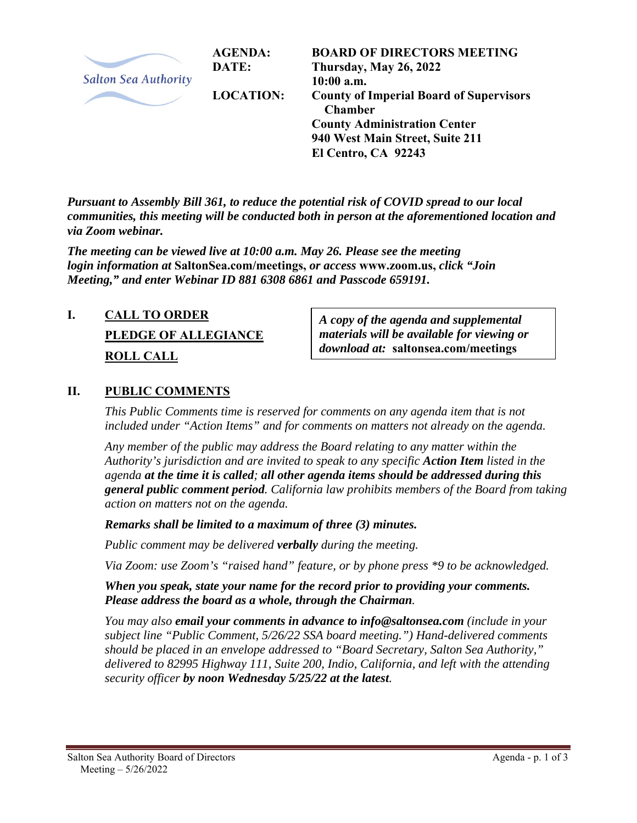

*Pursuant to Assembly Bill 361, to reduce the potential risk of COVID spread to our local communities, this meeting will be conducted both in person at the aforementioned location and via Zoom webinar.* 

*The meeting can be viewed live at 10:00 a.m. May 26. Please see the meeting login information at* **SaltonSea.com/meetings,** *or access* **www.zoom.us,** *click "Join Meeting," and enter Webinar ID 881 6308 6861 and Passcode 659191.* 

# **I. CALL TO ORDER PLEDGE OF ALLEGIANCE ROLL CALL**

*A copy of the agenda and supplemental materials will be available for viewing or download at:* **saltonsea.com/meetings**

### **II. PUBLIC COMMENTS**

*This Public Comments time is reserved for comments on any agenda item that is not included under "Action Items" and for comments on matters not already on the agenda.* 

*Any member of the public may address the Board relating to any matter within the Authority's jurisdiction and are invited to speak to any specific Action Item listed in the agenda at the time it is called; all other agenda items should be addressed during this general public comment period. California law prohibits members of the Board from taking action on matters not on the agenda.* 

*Remarks shall be limited to a maximum of three (3) minutes.* 

*Public comment may be delivered verbally during the meeting.* 

*Via Zoom: use Zoom's "raised hand" feature, or by phone press \*9 to be acknowledged.* 

*When you speak, state your name for the record prior to providing your comments. Please address the board as a whole, through the Chairman.* 

*You may also email your comments in advance to info@saltonsea.com (include in your subject line "Public Comment, 5/26/22 SSA board meeting.") Hand-delivered comments should be placed in an envelope addressed to "Board Secretary, Salton Sea Authority," delivered to 82995 Highway 111, Suite 200, Indio, California, and left with the attending security officer by noon Wednesday 5/25/22 at the latest.*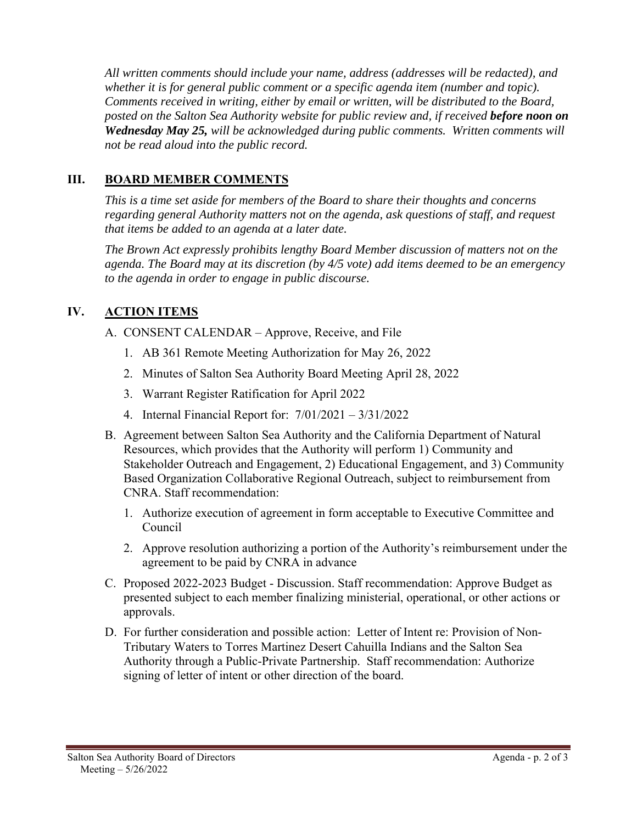*All written comments should include your name, address (addresses will be redacted), and whether it is for general public comment or a specific agenda item (number and topic). Comments received in writing, either by email or written, will be distributed to the Board, posted on the Salton Sea Authority website for public review and, if received before noon on Wednesday May 25, will be acknowledged during public comments. Written comments will not be read aloud into the public record.* 

## **III. BOARD MEMBER COMMENTS**

*This is a time set aside for members of the Board to share their thoughts and concerns regarding general Authority matters not on the agenda, ask questions of staff, and request that items be added to an agenda at a later date.* 

*The Brown Act expressly prohibits lengthy Board Member discussion of matters not on the agenda. The Board may at its discretion (by 4/5 vote) add items deemed to be an emergency to the agenda in order to engage in public discourse.* 

# **IV. ACTION ITEMS**

- A. CONSENT CALENDAR Approve, Receive, and File
	- 1. AB 361 Remote Meeting Authorization for May 26, 2022
	- 2. Minutes of Salton Sea Authority Board Meeting April 28, 2022
	- 3. Warrant Register Ratification for April 2022
	- 4. Internal Financial Report for: 7/01/2021 3/31/2022
- B. Agreement between Salton Sea Authority and the California Department of Natural Resources, which provides that the Authority will perform 1) Community and Stakeholder Outreach and Engagement, 2) Educational Engagement, and 3) Community Based Organization Collaborative Regional Outreach, subject to reimbursement from CNRA. Staff recommendation:
	- 1. Authorize execution of agreement in form acceptable to Executive Committee and Council
	- 2. Approve resolution authorizing a portion of the Authority's reimbursement under the agreement to be paid by CNRA in advance
- C. Proposed 2022-2023 Budget Discussion. Staff recommendation: Approve Budget as presented subject to each member finalizing ministerial, operational, or other actions or approvals.
- D. For further consideration and possible action: Letter of Intent re: Provision of Non-Tributary Waters to Torres Martinez Desert Cahuilla Indians and the Salton Sea Authority through a Public-Private Partnership. Staff recommendation: Authorize signing of letter of intent or other direction of the board.